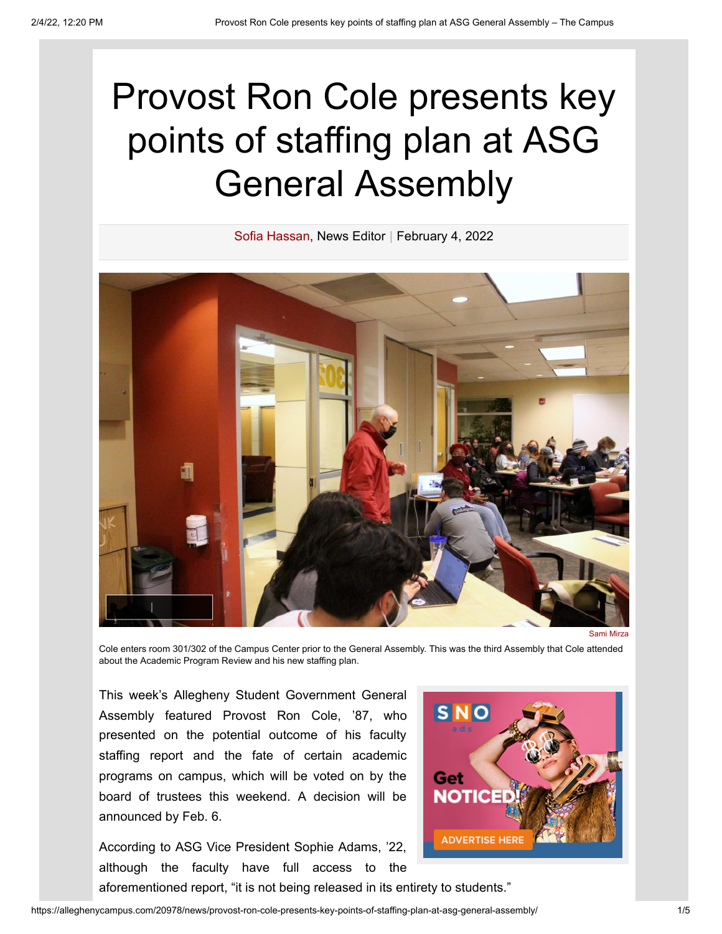## Provost Ron Cole presents key points of staffing plan at ASG General Assembly



Cole enters room 301/302 of the Campus Center prior to the General Assembly. This was the third Assembly that Cole attended about the Academic Program Review and his new staffing plan.

This week's Allegheny Student Government General Assembly featured Provost Ron Cole, '87, who presented on the potential outcome of his faculty staffing report and the fate of certain academic programs on campus, which will be voted on by the board of trustees this weekend. A decision will be announced by Feb. 6.

According to ASG Vice President Sophie Adams, '22, although the faculty have full access to the



https://alleghenycampus.com/20978/news/provost-ron-cole-presents-key-points-of-staffing-plan-at-asg-general-assembly/ 1/5

aforementioned report, "it is not being released in its entirety to students."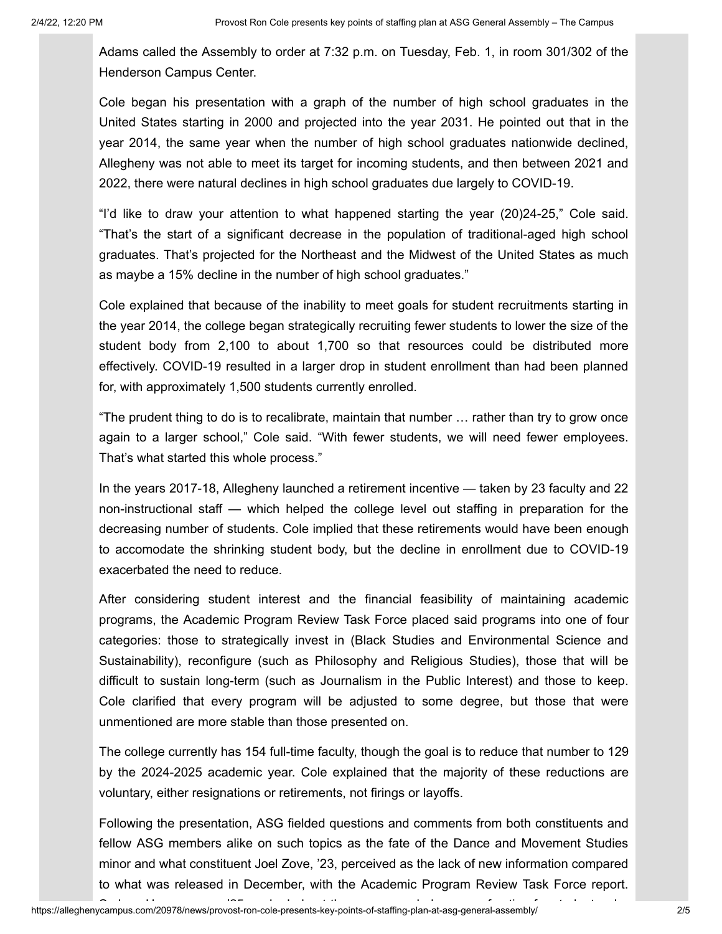Adams called the Assembly to order at 7:32 p.m. on Tuesday, Feb. 1, in room 301/302 of the Henderson Campus Center.

Cole began his presentation with a graph of the number of high school graduates in the United States starting in 2000 and projected into the year 2031. He pointed out that in the year 2014, the same year when the number of high school graduates nationwide declined, Allegheny was not able to meet its target for incoming students, and then between 2021 and 2022, there were natural declines in high school graduates due largely to COVID-19.

"I'd like to draw your attention to what happened starting the year (20)24-25," Cole said. "That's the start of a significant decrease in the population of traditional-aged high school graduates. That's projected for the Northeast and the Midwest of the United States as much as maybe a 15% decline in the number of high school graduates."

Cole explained that because of the inability to meet goals for student recruitments starting in the year 2014, the college began strategically recruiting fewer students to lower the size of the student body from 2,100 to about 1,700 so that resources could be distributed more effectively. COVID-19 resulted in a larger drop in student enrollment than had been planned for, with approximately 1,500 students currently enrolled.

"The prudent thing to do is to recalibrate, maintain that number … rather than try to grow once again to a larger school," Cole said. "With fewer students, we will need fewer employees. That's what started this whole process."

In the years 2017-18, Allegheny launched a retirement incentive — taken by 23 faculty and 22 non-instructional staff — which helped the college level out staffing in preparation for the decreasing number of students. Cole implied that these retirements would have been enough to accomodate the shrinking student body, but the decline in enrollment due to COVID-19 exacerbated the need to reduce.

After considering student interest and the financial feasibility of maintaining academic programs, the Academic Program Review Task Force placed said programs into one of four categories: those to strategically invest in (Black Studies and Environmental Science and Sustainability), reconfigure (such as Philosophy and Religious Studies), those that will be difficult to sustain long-term (such as Journalism in the Public Interest) and those to keep. Cole clarified that every program will be adjusted to some degree, but those that were unmentioned are more stable than those presented on.

The college currently has 154 full-time faculty, though the goal is to reduce that number to 129 by the 2024-2025 academic year. Cole explained that the majority of these reductions are voluntary, either resignations or retirements, not firings or layoffs.

Following the presentation, ASG fielded questions and comments from both constituents and fellow ASG members alike on such topics as the fate of the Dance and Movement Studies minor and what constituent Joel Zove, '23, perceived as the lack of new information compared to what was released in December, with the Academic Program Review Task Force report.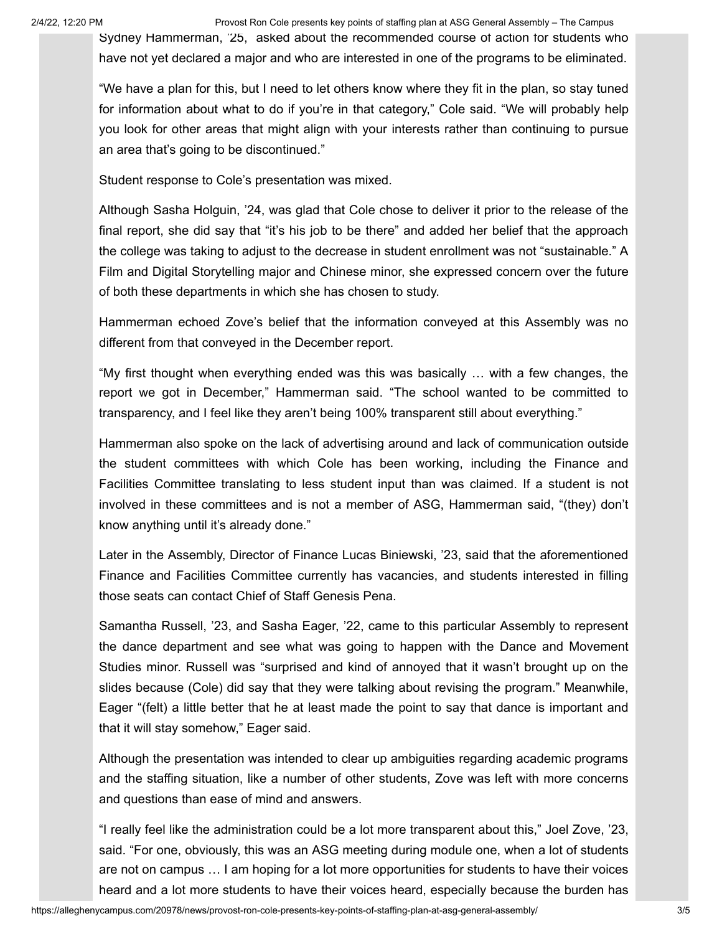2/4/22, 12:20 PM Provost Ron Cole presents key points of staffing plan at ASG General Assembly – The Campus

Sydney Hammerman, '25, asked about the recommended course of action for students who have not yet declared a major and who are interested in one of the programs to be eliminated.

"We have a plan for this, but I need to let others know where they fit in the plan, so stay tuned for information about what to do if you're in that category," Cole said. "We will probably help you look for other areas that might align with your interests rather than continuing to pursue an area that's going to be discontinued."

Student response to Cole's presentation was mixed.

Although Sasha Holguin, '24, was glad that Cole chose to deliver it prior to the release of the final report, she did say that "it's his job to be there" and added her belief that the approach the college was taking to adjust to the decrease in student enrollment was not "sustainable." A Film and Digital Storytelling major and Chinese minor, she expressed concern over the future of both these departments in which she has chosen to study.

Hammerman echoed Zove's belief that the information conveyed at this Assembly was no different from that conveyed in the December report.

"My first thought when everything ended was this was basically … with a few changes, the report we got in December," Hammerman said. "The school wanted to be committed to transparency, and I feel like they aren't being 100% transparent still about everything."

Hammerman also spoke on the lack of advertising around and lack of communication outside the student committees with which Cole has been working, including the Finance and Facilities Committee translating to less student input than was claimed. If a student is not involved in these committees and is not a member of ASG, Hammerman said, "(they) don't know anything until it's already done."

Later in the Assembly, Director of Finance Lucas Biniewski, '23, said that the aforementioned Finance and Facilities Committee currently has vacancies, and students interested in filling those seats can contact Chief of Staff Genesis Pena.

Samantha Russell, '23, and Sasha Eager, '22, came to this particular Assembly to represent the dance department and see what was going to happen with the Dance and Movement Studies minor. Russell was "surprised and kind of annoyed that it wasn't brought up on the slides because (Cole) did say that they were talking about revising the program." Meanwhile, Eager "(felt) a little better that he at least made the point to say that dance is important and that it will stay somehow," Eager said.

Although the presentation was intended to clear up ambiguities regarding academic programs and the staffing situation, like a number of other students, Zove was left with more concerns and questions than ease of mind and answers.

"I really feel like the administration could be a lot more transparent about this," Joel Zove, '23, said. "For one, obviously, this was an ASG meeting during module one, when a lot of students are not on campus … I am hoping for a lot more opportunities for students to have their voices heard and a lot more students to have their voices heard, especially because the burden has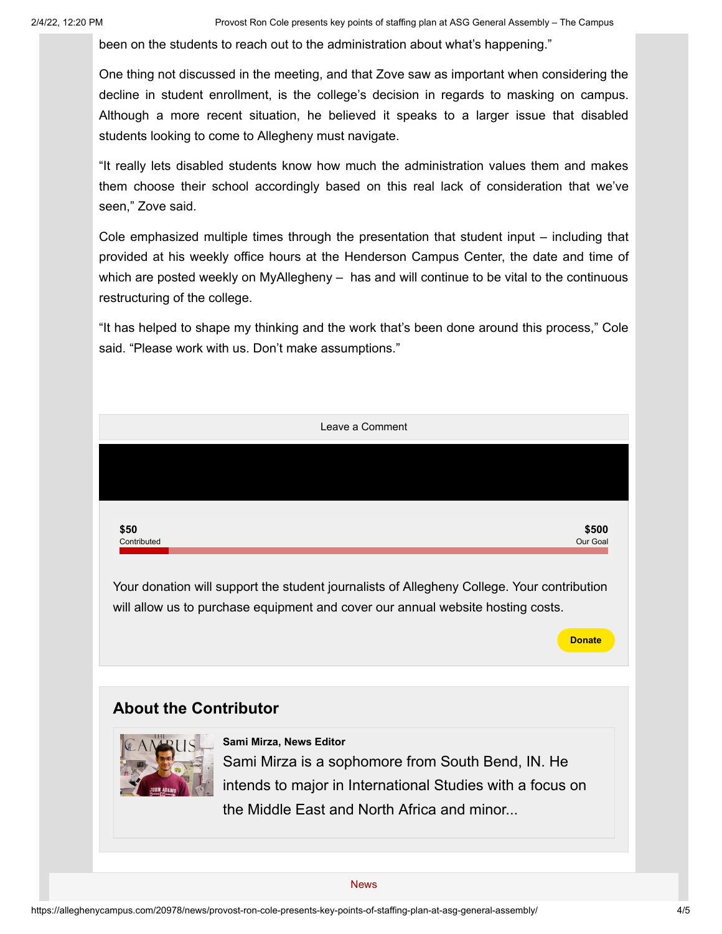been on the students to reach out to the administration about what's happening."

One thing not discussed in the meeting, and that Zove saw as important when considering the decline in student enrollment, is the college's decision in regards to masking on campus. Although a more recent situation, he believed it speaks to a larger issue that disabled students looking to come to Allegheny must navigate.

"It really lets disabled students know how much the administration values them and makes them choose their school accordingly based on this real lack of consideration that we've seen," Zove said.

Cole emphasized multiple times through the presentation that student input – including that provided at his weekly office hours at the Henderson Campus Center, the date and time of which are posted weekly on MyAllegheny – has and will continue to be vital to the continuous restructuring of the college.

"It has helped to shape my thinking and the work that's been done around this process," Cole said. "Please work with us. Don't make assumptions."



will allow us to purchase equipment and cover our annual website hosting costs.

## **About the Contributor**



Sami Mirza is a sophomore from South Bend, IN. He intends to major in International Studies with a focus on the Middle East and North Africa and minor... **[Sami Mirza, News Editor](https://alleghenycampus.com/staff_profile/sami-mirza/)**

**Donate**